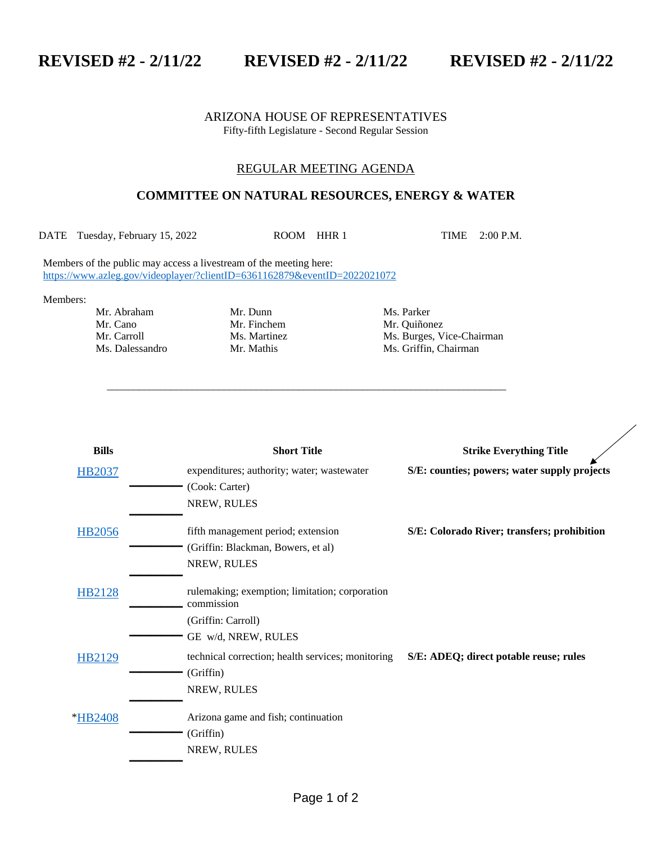**REVISED #2 - 2/11/22 REVISED #2 - 2/11/22 REVISED #2 - 2/11/22**

## ARIZONA HOUSE OF REPRESENTATIVES Fifty-fifth Legislature - Second Regular Session

## REGULAR MEETING AGENDA

## **COMMITTEE ON NATURAL RESOURCES, ENERGY & WATER**

DATE Tuesday, February 15, 2022 ROOM HHR 1 TIME 2:00 P.M.

\_\_\_\_\_\_\_\_\_\_\_\_\_\_\_\_\_\_\_\_\_\_\_\_\_\_\_\_\_\_\_\_\_\_\_\_\_\_\_\_\_\_\_\_\_\_\_\_\_\_\_\_\_\_\_\_\_\_\_\_\_\_\_\_\_\_\_\_\_\_\_\_\_\_\_

Members of the public may access a livestream of the meeting here: <https://www.azleg.gov/videoplayer/?clientID=6361162879&eventID=2022021072>

Members:

Mr. Cano Mr. Finchem Mr. Quiñonez<br>Mr. Carroll Ms. Martinez Ms. Burges, V

Mr. Abraham Mr. Dunn Ms. Parker

Ms. Martinez Ms. Burges, Vice-Chairman Ms. Dalessandro Mr. Mathis Ms. Griffin, Chairman

| <b>Bills</b>  | <b>Short Title</b>                                                            | <b>Strike Everything Title</b>               |
|---------------|-------------------------------------------------------------------------------|----------------------------------------------|
| HB2037        | expenditures; authority; water; wastewater<br>(Cook: Carter)                  | S/E: counties; powers; water supply projects |
|               | NREW, RULES                                                                   |                                              |
| HB2056        | fifth management period; extension                                            | S/E: Colorado River; transfers; prohibition  |
|               | (Griffin: Blackman, Bowers, et al)<br>NREW, RULES                             |                                              |
| <b>HB2128</b> | rule making; exemption; limitation; corporation<br>commission                 |                                              |
|               | (Griffin: Carroll)<br>GE w/d, NREW, RULES                                     |                                              |
| HB2129        | technical correction; health services; monitoring<br>(Griffin)<br>NREW, RULES | S/E: ADEQ; direct potable reuse; rules       |
| *HB2408       | Arizona game and fish; continuation<br>(Griffin)<br>NREW, RULES               |                                              |
|               |                                                                               |                                              |